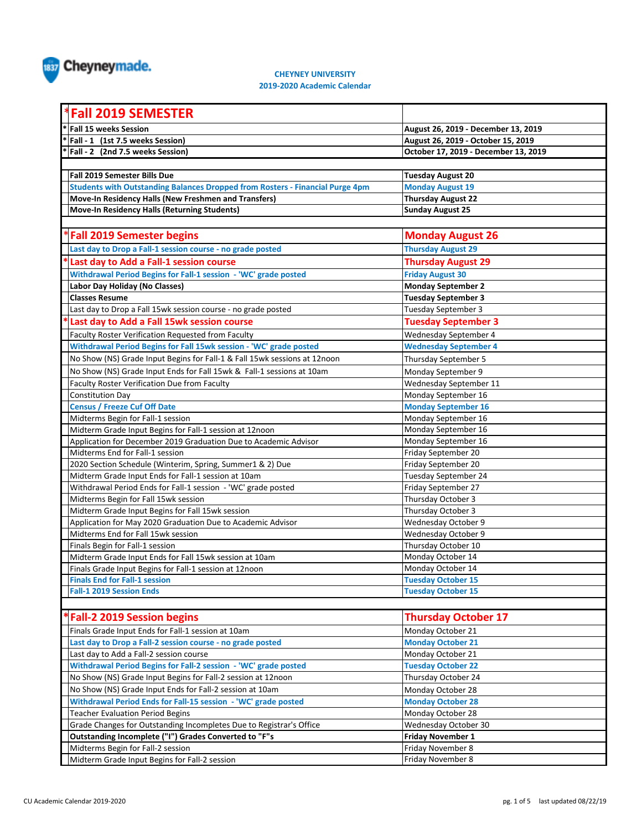

## **CHEYNEY UNIVERSITY**

**2019-2020 Academic Calendar**

| <b>Fall 2019 SEMESTER</b>                                                            |                                                   |
|--------------------------------------------------------------------------------------|---------------------------------------------------|
| <b>Fall 15 weeks Session</b>                                                         | August 26, 2019 - December 13, 2019               |
| Fall - 1 (1st 7.5 weeks Session)                                                     | August 26, 2019 - October 15, 2019                |
| Fall - 2 (2nd 7.5 weeks Session)                                                     | October 17, 2019 - December 13, 2019              |
|                                                                                      |                                                   |
| Fall 2019 Semester Bills Due                                                         | <b>Tuesday August 20</b>                          |
| <b>Students with Outstanding Balances Dropped from Rosters - Financial Purge 4pm</b> | <b>Monday August 19</b>                           |
| Move-In Residency Halls (New Freshmen and Transfers)                                 | <b>Thursday August 22</b>                         |
| <b>Move-In Residency Halls (Returning Students)</b>                                  | <b>Sunday August 25</b>                           |
|                                                                                      |                                                   |
| *Fall 2019 Semester begins                                                           | <b>Monday August 26</b>                           |
| Last day to Drop a Fall-1 session course - no grade posted                           | <b>Thursday August 29</b>                         |
| Last day to Add a Fall-1 session course                                              | <b>Thursday August 29</b>                         |
| Withdrawal Period Begins for Fall-1 session - 'WC' grade posted                      | <b>Friday August 30</b>                           |
| Labor Day Holiday (No Classes)                                                       | <b>Monday September 2</b>                         |
| <b>Classes Resume</b>                                                                | <b>Tuesday September 3</b>                        |
| Last day to Drop a Fall 15wk session course - no grade posted                        | <b>Tuesday September 3</b>                        |
| Last day to Add a Fall 15wk session course                                           | <b>Tuesday September 3</b>                        |
| Faculty Roster Verification Requested from Faculty                                   | Wednesday September 4                             |
| Withdrawal Period Begins for Fall 15wk session - 'WC' grade posted                   | <b>Wednesday September 4</b>                      |
| No Show (NS) Grade Input Begins for Fall-1 & Fall 15wk sessions at 12noon            | Thursday September 5                              |
| No Show (NS) Grade Input Ends for Fall 15wk & Fall-1 sessions at 10am                |                                                   |
| Faculty Roster Verification Due from Faculty                                         | Monday September 9<br>Wednesday September 11      |
| <b>Constitution Day</b>                                                              |                                                   |
| <b>Census / Freeze Cuf Off Date</b>                                                  | Monday September 16<br><b>Monday September 16</b> |
| Midterms Begin for Fall-1 session                                                    | Monday September 16                               |
| Midterm Grade Input Begins for Fall-1 session at 12noon                              | Monday September 16                               |
| Application for December 2019 Graduation Due to Academic Advisor                     | Monday September 16                               |
| Midterms End for Fall-1 session                                                      | Friday September 20                               |
| 2020 Section Schedule (Winterim, Spring, Summer1 & 2) Due                            | Friday September 20                               |
| Midterm Grade Input Ends for Fall-1 session at 10am                                  | Tuesday September 24                              |
| Withdrawal Period Ends for Fall-1 session - 'WC' grade posted                        | Friday September 27                               |
| Midterms Begin for Fall 15wk session                                                 | Thursday October 3                                |
| Midterm Grade Input Begins for Fall 15wk session                                     | Thursday October 3                                |
| Application for May 2020 Graduation Due to Academic Advisor                          | Wednesday October 9                               |
| Midterms End for Fall 15wk session                                                   | Wednesday October 9                               |
| Finals Begin for Fall-1 session                                                      | Thursday October 10                               |
| Midterm Grade Input Ends for Fall 15wk session at 10am                               | Monday October 14                                 |
| Finals Grade Input Begins for Fall-1 session at 12noon                               | Monday October 14                                 |
| <b>Finals End for Fall-1 session</b>                                                 | <b>Tuesday October 15</b>                         |
| <b>Fall-1 2019 Session Ends</b>                                                      | <b>Tuesday October 15</b>                         |
|                                                                                      |                                                   |
| *Fall-2 2019 Session begins                                                          | <b>Thursday October 17</b>                        |
| Finals Grade Input Ends for Fall-1 session at 10am                                   | Monday October 21                                 |
| Last day to Drop a Fall-2 session course - no grade posted                           | <b>Monday October 21</b>                          |
| Last day to Add a Fall-2 session course                                              | Monday October 21                                 |
| Withdrawal Period Begins for Fall-2 session - 'WC' grade posted                      | <b>Tuesday October 22</b>                         |
| No Show (NS) Grade Input Begins for Fall-2 session at 12noon                         | Thursday October 24                               |
| No Show (NS) Grade Input Ends for Fall-2 session at 10am                             | Monday October 28                                 |
| Withdrawal Period Ends for Fall-15 session - 'WC' grade posted                       | <b>Monday October 28</b>                          |
| <b>Teacher Evaluation Period Begins</b>                                              | Monday October 28                                 |
| Grade Changes for Outstanding Incompletes Due to Registrar's Office                  | Wednesday October 30                              |
| Outstanding Incomplete ("I") Grades Converted to "F"s                                | <b>Friday November 1</b>                          |
| Midterms Begin for Fall-2 session                                                    | Friday November 8                                 |
| Midterm Grade Input Begins for Fall-2 session                                        | Friday November 8                                 |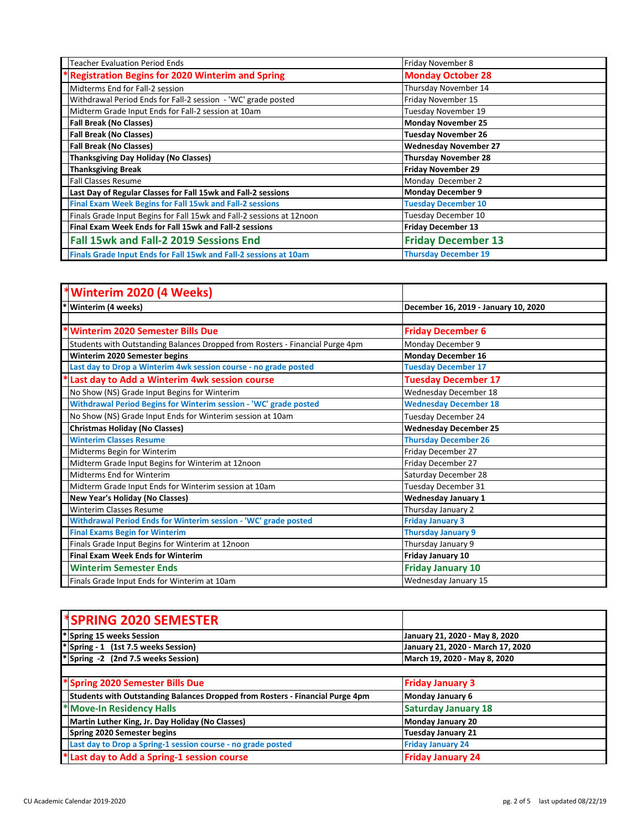| <b>Teacher Evaluation Period Ends</b>                                 | Friday November 8            |
|-----------------------------------------------------------------------|------------------------------|
| <b>Registration Begins for 2020 Winterim and Spring</b>               | <b>Monday October 28</b>     |
| Midterms End for Fall-2 session                                       | Thursday November 14         |
| Withdrawal Period Ends for Fall-2 session - 'WC' grade posted         | Friday November 15           |
| Midterm Grade Input Ends for Fall-2 session at 10am                   | Tuesday November 19          |
| <b>Fall Break (No Classes)</b>                                        | Monday November 25           |
| <b>Fall Break (No Classes)</b>                                        | <b>Tuesday November 26</b>   |
| <b>Fall Break (No Classes)</b>                                        | <b>Wednesday November 27</b> |
| <b>Thanksgiving Day Holiday (No Classes)</b>                          | <b>Thursday November 28</b>  |
| <b>Thanksgiving Break</b>                                             | <b>Friday November 29</b>    |
| <b>Fall Classes Resume</b>                                            | Monday December 2            |
| Last Day of Regular Classes for Fall 15wk and Fall-2 sessions         | <b>Monday December 9</b>     |
| <b>Final Exam Week Begins for Fall 15wk and Fall-2 sessions</b>       | <b>Tuesday December 10</b>   |
| Finals Grade Input Begins for Fall 15wk and Fall-2 sessions at 12noon | Tuesday December 10          |
| Final Exam Week Ends for Fall 15wk and Fall-2 sessions                | <b>Friday December 13</b>    |
| Fall 15wk and Fall-2 2019 Sessions End                                | <b>Friday December 13</b>    |
| Finals Grade Input Ends for Fall 15wk and Fall-2 sessions at 10am     | <b>Thursday December 19</b>  |

| *Winterim 2020 (4 Weeks)                                                      |                                      |
|-------------------------------------------------------------------------------|--------------------------------------|
| Winterim (4 weeks)                                                            | December 16, 2019 - January 10, 2020 |
|                                                                               |                                      |
| <b>Winterim 2020 Semester Bills Due</b>                                       | <b>Friday December 6</b>             |
| Students with Outstanding Balances Dropped from Rosters - Financial Purge 4pm | Monday December 9                    |
| Winterim 2020 Semester begins                                                 | <b>Monday December 16</b>            |
| Last day to Drop a Winterim 4wk session course - no grade posted              | <b>Tuesday December 17</b>           |
| Last day to Add a Winterim 4wk session course                                 | <b>Tuesday December 17</b>           |
| No Show (NS) Grade Input Begins for Winterim                                  | Wednesday December 18                |
| Withdrawal Period Begins for Winterim session - 'WC' grade posted             | <b>Wednesday December 18</b>         |
| No Show (NS) Grade Input Ends for Winterim session at 10am                    | Tuesday December 24                  |
| <b>Christmas Holiday (No Classes)</b>                                         | <b>Wednesday December 25</b>         |
| <b>Winterim Classes Resume</b>                                                | <b>Thursday December 26</b>          |
| Midterms Begin for Winterim                                                   | Friday December 27                   |
| Midterm Grade Input Begins for Winterim at 12noon                             | Friday December 27                   |
| Midterms End for Winterim                                                     | Saturday December 28                 |
| Midterm Grade Input Ends for Winterim session at 10am                         | Tuesday December 31                  |
| <b>New Year's Holiday (No Classes)</b>                                        | <b>Wednesday January 1</b>           |
| <b>Winterim Classes Resume</b>                                                | Thursday January 2                   |
| Withdrawal Period Ends for Winterim session - 'WC' grade posted               | <b>Friday January 3</b>              |
| <b>Final Exams Begin for Winterim</b>                                         | <b>Thursday January 9</b>            |
| Finals Grade Input Begins for Winterim at 12noon                              | Thursday January 9                   |
| <b>Final Exam Week Ends for Winterim</b>                                      | <b>Friday January 10</b>             |
| <b>Winterim Semester Ends</b>                                                 | <b>Friday January 10</b>             |
| Finals Grade Input Ends for Winterim at 10am                                  | Wednesday January 15                 |

| <b>SPRING 2020 SEMESTER</b>                                                   |                                   |
|-------------------------------------------------------------------------------|-----------------------------------|
| *Spring 15 weeks Session                                                      | January 21, 2020 - May 8, 2020    |
| *Spring - 1 (1st 7.5 weeks Session)                                           | January 21, 2020 - March 17, 2020 |
| $*$ Spring -2 (2nd 7.5 weeks Session)                                         | March 19, 2020 - May 8, 2020      |
|                                                                               |                                   |
| *Spring 2020 Semester Bills Due                                               | <b>Friday January 3</b>           |
| Students with Outstanding Balances Dropped from Rosters - Financial Purge 4pm | Monday January 6                  |
| * Move-In Residency Halls                                                     | <b>Saturday January 18</b>        |
| Martin Luther King, Jr. Day Holiday (No Classes)                              | Monday January 20                 |
| Spring 2020 Semester begins                                                   | <b>Tuesday January 21</b>         |
| Last day to Drop a Spring-1 session course - no grade posted                  | <b>Friday January 24</b>          |
| *Last day to Add a Spring-1 session course                                    | <b>Friday January 24</b>          |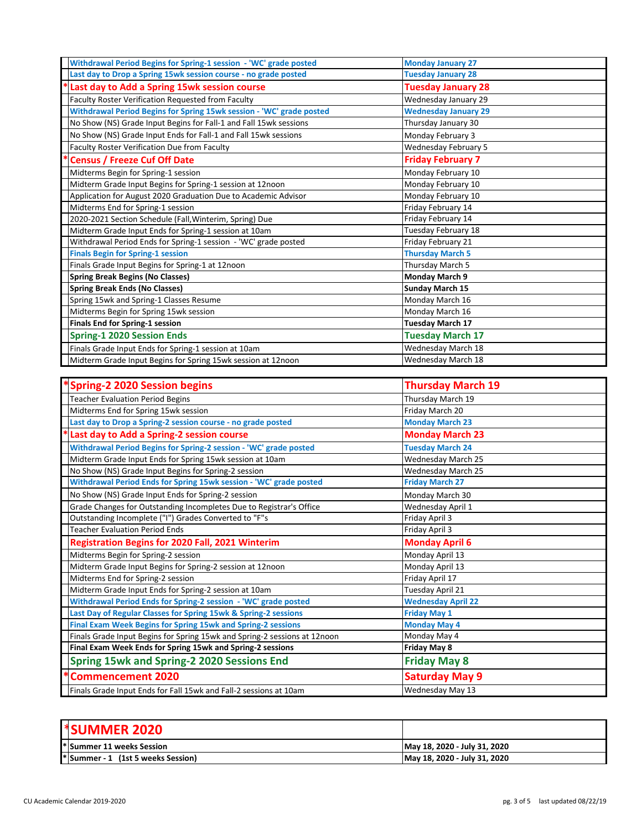| Withdrawal Period Begins for Spring-1 session - 'WC' grade posted    | <b>Monday January 27</b>    |
|----------------------------------------------------------------------|-----------------------------|
| Last day to Drop a Spring 15wk session course - no grade posted      | <b>Tuesday January 28</b>   |
| Last day to Add a Spring 15wk session course                         | <b>Tuesday January 28</b>   |
| Faculty Roster Verification Requested from Faculty                   | Wednesday January 29        |
| Withdrawal Period Begins for Spring 15wk session - 'WC' grade posted | <b>Wednesday January 29</b> |
| No Show (NS) Grade Input Begins for Fall-1 and Fall 15wk sessions    | Thursday January 30         |
| No Show (NS) Grade Input Ends for Fall-1 and Fall 15wk sessions      | Monday February 3           |
| Faculty Roster Verification Due from Faculty                         | Wednesday February 5        |
| <b>Census / Freeze Cuf Off Date</b>                                  | <b>Friday February 7</b>    |
| Midterms Begin for Spring-1 session                                  | Monday February 10          |
| Midterm Grade Input Begins for Spring-1 session at 12noon            | Monday February 10          |
| Application for August 2020 Graduation Due to Academic Advisor       | Monday February 10          |
| Midterms End for Spring-1 session                                    | Friday February 14          |
| 2020-2021 Section Schedule (Fall, Winterim, Spring) Due              | Friday February 14          |
| Midterm Grade Input Ends for Spring-1 session at 10am                | Tuesday February 18         |
| Withdrawal Period Ends for Spring-1 session - 'WC' grade posted      | Friday February 21          |
| <b>Finals Begin for Spring-1 session</b>                             | <b>Thursday March 5</b>     |
| Finals Grade Input Begins for Spring-1 at 12noon                     | Thursday March 5            |
| <b>Spring Break Begins (No Classes)</b>                              | <b>Monday March 9</b>       |
| <b>Spring Break Ends (No Classes)</b>                                | <b>Sunday March 15</b>      |
| Spring 15wk and Spring-1 Classes Resume                              | Monday March 16             |
| Midterms Begin for Spring 15wk session                               | Monday March 16             |
| Finals End for Spring-1 session                                      | <b>Tuesday March 17</b>     |
| <b>Spring-1 2020 Session Ends</b>                                    | <b>Tuesday March 17</b>     |
| Finals Grade Input Ends for Spring-1 session at 10am                 | Wednesday March 18          |
| Midterm Grade Input Begins for Spring 15wk session at 12noon         | Wednesday March 18          |

| <b>Spring-2 2020 Session begins</b>                                       | <b>Thursday March 19</b>  |
|---------------------------------------------------------------------------|---------------------------|
| <b>Teacher Evaluation Period Begins</b>                                   | Thursday March 19         |
| Midterms End for Spring 15wk session                                      | Friday March 20           |
| Last day to Drop a Spring-2 session course - no grade posted              | <b>Monday March 23</b>    |
| Last day to Add a Spring-2 session course                                 | <b>Monday March 23</b>    |
| Withdrawal Period Begins for Spring-2 session - 'WC' grade posted         | <b>Tuesday March 24</b>   |
| Midterm Grade Input Ends for Spring 15wk session at 10am                  | <b>Wednesday March 25</b> |
| No Show (NS) Grade Input Begins for Spring-2 session                      | Wednesday March 25        |
| Withdrawal Period Ends for Spring 15wk session - 'WC' grade posted        | <b>Friday March 27</b>    |
| No Show (NS) Grade Input Ends for Spring-2 session                        | Monday March 30           |
| Grade Changes for Outstanding Incompletes Due to Registrar's Office       | Wednesday April 1         |
| Outstanding Incomplete ("I") Grades Converted to "F"s                     | Friday April 3            |
| <b>Teacher Evaluation Period Ends</b>                                     | Friday April 3            |
| <b>Registration Begins for 2020 Fall, 2021 Winterim</b>                   | <b>Monday April 6</b>     |
| Midterms Begin for Spring-2 session                                       | Monday April 13           |
| Midterm Grade Input Begins for Spring-2 session at 12noon                 | Monday April 13           |
| Midterms End for Spring-2 session                                         | Friday April 17           |
| Midterm Grade Input Ends for Spring-2 session at 10am                     | Tuesday April 21          |
| Withdrawal Period Ends for Spring-2 session - 'WC' grade posted           | <b>Wednesday April 22</b> |
| Last Day of Regular Classes for Spring 15wk & Spring-2 sessions           | <b>Friday May 1</b>       |
| Final Exam Week Begins for Spring 15wk and Spring-2 sessions              | <b>Monday May 4</b>       |
| Finals Grade Input Begins for Spring 15wk and Spring-2 sessions at 12noon | Monday May 4              |
| Final Exam Week Ends for Spring 15wk and Spring-2 sessions                | Friday May 8              |
| <b>Spring 15wk and Spring-2 2020 Sessions End</b>                         | <b>Friday May 8</b>       |
| <b>Commencement 2020</b>                                                  | <b>Saturday May 9</b>     |
| Finals Grade Input Ends for Fall 15wk and Fall-2 sessions at 10am         | Wednesday May 13          |

| <b>SUMMER 2020</b>                      |                              |
|-----------------------------------------|------------------------------|
| Summer 11 weeks Session                 | May 18, 2020 - July 31, 2020 |
| <b>Summer - 1 (1st 5 weeks Session)</b> | May 18, 2020 - July 31, 2020 |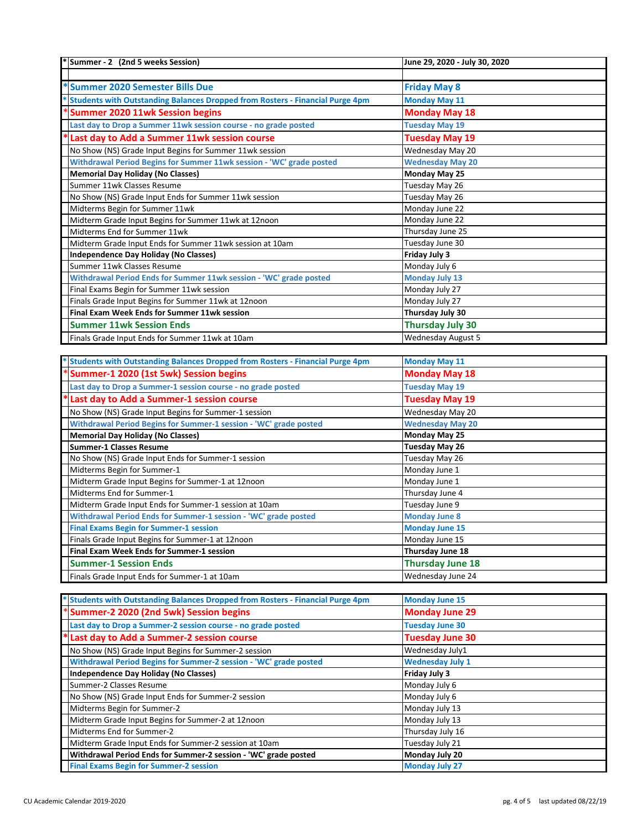| *Summer - 2 (2nd 5 weeks Session)                                                    | June 29, 2020 - July 30, 2020 |
|--------------------------------------------------------------------------------------|-------------------------------|
|                                                                                      |                               |
| *Summer 2020 Semester Bills Due                                                      | <b>Friday May 8</b>           |
| <b>Students with Outstanding Balances Dropped from Rosters - Financial Purge 4pm</b> | <b>Monday May 11</b>          |
| <b>Summer 2020 11wk Session begins</b>                                               | <b>Monday May 18</b>          |
| Last day to Drop a Summer 11wk session course - no grade posted                      | <b>Tuesday May 19</b>         |
| Last day to Add a Summer 11wk session course                                         | Tuesday May 19                |
| No Show (NS) Grade Input Begins for Summer 11wk session                              | Wednesday May 20              |
| Withdrawal Period Begins for Summer 11wk session - 'WC' grade posted                 | <b>Wednesday May 20</b>       |
| <b>Memorial Day Holiday (No Classes)</b>                                             | Monday May 25                 |
| Summer 11wk Classes Resume                                                           | Tuesday May 26                |
| No Show (NS) Grade Input Ends for Summer 11wk session                                | Tuesday May 26                |
| Midterms Begin for Summer 11wk                                                       | Monday June 22                |
| Midterm Grade Input Begins for Summer 11wk at 12noon                                 | Monday June 22                |
| Midterms End for Summer 11wk                                                         | Thursday June 25              |
| Midterm Grade Input Ends for Summer 11wk session at 10am                             | Tuesday June 30               |
| <b>Independence Day Holiday (No Classes)</b>                                         | Friday July 3                 |
| Summer 11wk Classes Resume                                                           | Monday July 6                 |
| Withdrawal Period Ends for Summer 11wk session - 'WC' grade posted                   | <b>Monday July 13</b>         |
| Final Exams Begin for Summer 11wk session                                            | Monday July 27                |
| Finals Grade Input Begins for Summer 11wk at 12noon                                  | Monday July 27                |
| Final Exam Week Ends for Summer 11wk session                                         | Thursday July 30              |
| <b>Summer 11wk Session Ends</b>                                                      | Thursday July 30              |
| Finals Grade Input Ends for Summer 11wk at 10am                                      | <b>Wednesday August 5</b>     |

| * Students with Outstanding Balances Dropped from Rosters - Financial Purge 4pm | <b>Monday May 11</b>    |
|---------------------------------------------------------------------------------|-------------------------|
| *Summer-1 2020 (1st 5wk) Session begins                                         | <b>Monday May 18</b>    |
| Last day to Drop a Summer-1 session course - no grade posted                    | <b>Tuesday May 19</b>   |
| Last day to Add a Summer-1 session course                                       | <b>Tuesday May 19</b>   |
| No Show (NS) Grade Input Begins for Summer-1 session                            | Wednesday May 20        |
| Withdrawal Period Begins for Summer-1 session - 'WC' grade posted               | <b>Wednesday May 20</b> |
| <b>Memorial Day Holiday (No Classes)</b>                                        | Monday May 25           |
| <b>Summer-1 Classes Resume</b>                                                  | Tuesday May 26          |
| No Show (NS) Grade Input Ends for Summer-1 session                              | Tuesday May 26          |
| Midterms Begin for Summer-1                                                     | Monday June 1           |
| Midterm Grade Input Begins for Summer-1 at 12noon                               | Monday June 1           |
| Midterms End for Summer-1                                                       | Thursday June 4         |
| Midterm Grade Input Ends for Summer-1 session at 10am                           | Tuesday June 9          |
| Withdrawal Period Ends for Summer-1 session - 'WC' grade posted                 | <b>Monday June 8</b>    |
| <b>Final Exams Begin for Summer-1 session</b>                                   | <b>Monday June 15</b>   |
| Finals Grade Input Begins for Summer-1 at 12noon                                | Monday June 15          |
| Final Exam Week Ends for Summer-1 session                                       | Thursday June 18        |
| <b>Summer-1 Session Ends</b>                                                    | <b>Thursday June 18</b> |
| Finals Grade Input Ends for Summer-1 at 10am                                    | Wednesday June 24       |

| * Students with Outstanding Balances Dropped from Rosters - Financial Purge 4pm | <b>Monday June 15</b>   |
|---------------------------------------------------------------------------------|-------------------------|
| *Summer-2 2020 (2nd 5wk) Session begins                                         | <b>Monday June 29</b>   |
| Last day to Drop a Summer-2 session course - no grade posted                    | <b>Tuesday June 30</b>  |
| * Last day to Add a Summer-2 session course                                     | <b>Tuesday June 30</b>  |
| No Show (NS) Grade Input Begins for Summer-2 session                            | Wednesday July1         |
| Withdrawal Period Begins for Summer-2 session - 'WC' grade posted               | <b>Wednesday July 1</b> |
| Independence Day Holiday (No Classes)                                           | Friday July 3           |
| Summer-2 Classes Resume                                                         | Monday July 6           |
| No Show (NS) Grade Input Ends for Summer-2 session                              | Monday July 6           |
| Midterms Begin for Summer-2                                                     | Monday July 13          |
| Midterm Grade Input Begins for Summer-2 at 12noon                               | Monday July 13          |
| Midterms End for Summer-2                                                       | Thursday July 16        |
| Midterm Grade Input Ends for Summer-2 session at 10am                           | Tuesday July 21         |
| Withdrawal Period Ends for Summer-2 session - 'WC' grade posted                 | Monday July 20          |
| <b>Final Exams Begin for Summer-2 session</b>                                   | <b>Monday July 27</b>   |